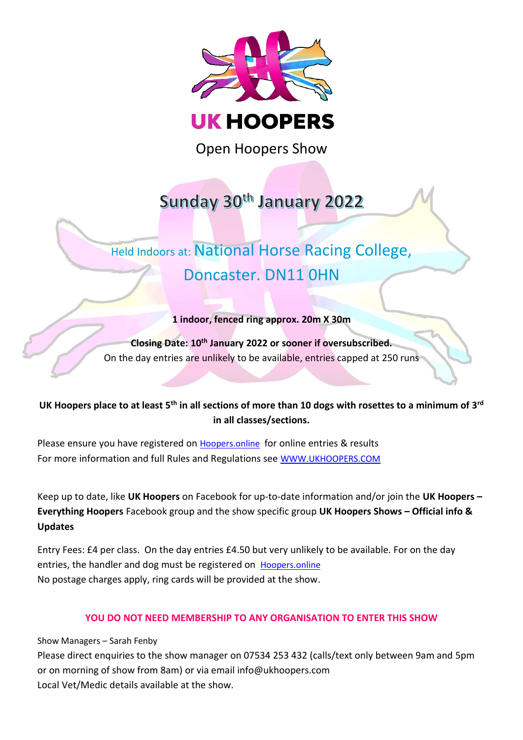

Open Hoopers Show

# Sunday 30th January 2022

# Held Indoors at: National Horse Racing College, Doncaster. DN11 0HN

## **1 indoor, fenced ring approx. 20m X 30m**

**Closing Date: 10 th January 2022 or sooner if oversubscribed.** On the day entries are unlikely to be available, entries capped at 250 runs

# **UK Hoopers place to at least 5th in all sections of more than 10 dogs with rosettes to a minimum of 3rd in all classes/sections.**

Please ensure you have registered on [Hoopers.online](https://hoopers.online/events) for online entries & results For more information and full Rules and Regulations see [WWW.UKHOOPERS.COM](http://www.ukhoopers.com/)

Keep up to date, like **UK Hoopers** on Facebook for up-to-date information and/or join the **UK Hoopers – Everything Hoopers** Facebook group and the show specific group **UK Hoopers Shows – Official info & Updates**

Entry Fees: £4 per class. On the day entries £4.50 but very unlikely to be available. For on the day entries, the handler and dog must be registered on [Hoopers.online](https://hoopers.online/events) No postage charges apply, ring cards will be provided at the show.

### **YOU DO NOT NEED MEMBERSHIP TO ANY ORGANISATION TO ENTER THIS SHOW**

Show Managers – Sarah Fenby

Please direct enquiries to the show manager on 07534 253 432 (calls/text only between 9am and 5pm or on morning of show from 8am) or via email info@ukhoopers.com Local Vet/Medic details available at the show.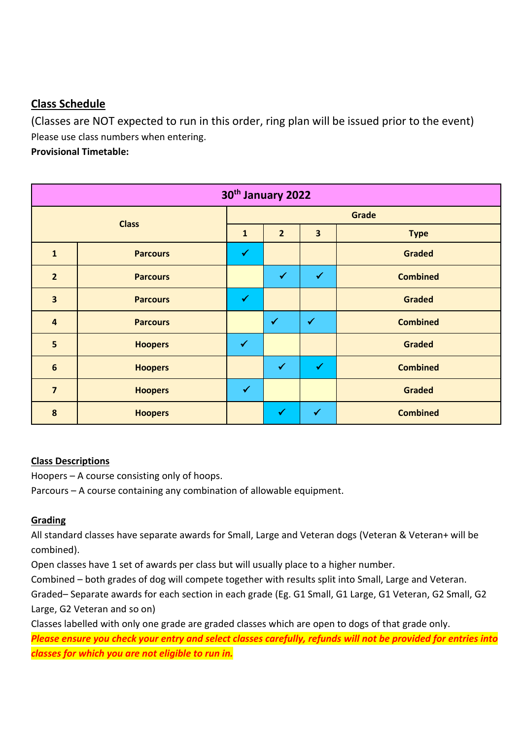# **Class Schedule**

(Classes are NOT expected to run in this order, ring plan will be issued prior to the event) Please use class numbers when entering.

**Provisional Timetable:** 

| 30th January 2022       |                 |              |                |                         |                 |  |  |  |
|-------------------------|-----------------|--------------|----------------|-------------------------|-----------------|--|--|--|
| <b>Class</b>            |                 | Grade        |                |                         |                 |  |  |  |
|                         |                 | $\mathbf{1}$ | $\overline{2}$ | $\overline{\mathbf{3}}$ | <b>Type</b>     |  |  |  |
| $\mathbf{1}$            | <b>Parcours</b> | ✔            |                |                         | <b>Graded</b>   |  |  |  |
| $\overline{2}$          | <b>Parcours</b> |              | $\checkmark$   | $\checkmark$            | <b>Combined</b> |  |  |  |
| $\overline{\mathbf{3}}$ | <b>Parcours</b> | $\checkmark$ |                |                         | <b>Graded</b>   |  |  |  |
| $\overline{\mathbf{4}}$ | <b>Parcours</b> |              | $\checkmark$   | $\checkmark$            | <b>Combined</b> |  |  |  |
| 5                       | <b>Hoopers</b>  | $\checkmark$ |                |                         | <b>Graded</b>   |  |  |  |
| $6\phantom{1}$          | <b>Hoopers</b>  |              | $\checkmark$   | $\checkmark$            | <b>Combined</b> |  |  |  |
| $\overline{7}$          | <b>Hoopers</b>  | $\checkmark$ |                |                         | <b>Graded</b>   |  |  |  |
| 8                       | <b>Hoopers</b>  |              | $\checkmark$   | $\blacktriangledown$    | <b>Combined</b> |  |  |  |

## **Class Descriptions**

Hoopers – A course consisting only of hoops.

Parcours – A course containing any combination of allowable equipment.

## **Grading**

All standard classes have separate awards for Small, Large and Veteran dogs (Veteran & Veteran+ will be combined).

Open classes have 1 set of awards per class but will usually place to a higher number.

Combined – both grades of dog will compete together with results split into Small, Large and Veteran.

Graded– Separate awards for each section in each grade (Eg. G1 Small, G1 Large, G1 Veteran, G2 Small, G2 Large, G2 Veteran and so on)

Classes labelled with only one grade are graded classes which are open to dogs of that grade only.

*Please ensure you check your entry and select classes carefully, refunds will not be provided for entries into classes for which you are not eligible to run in.*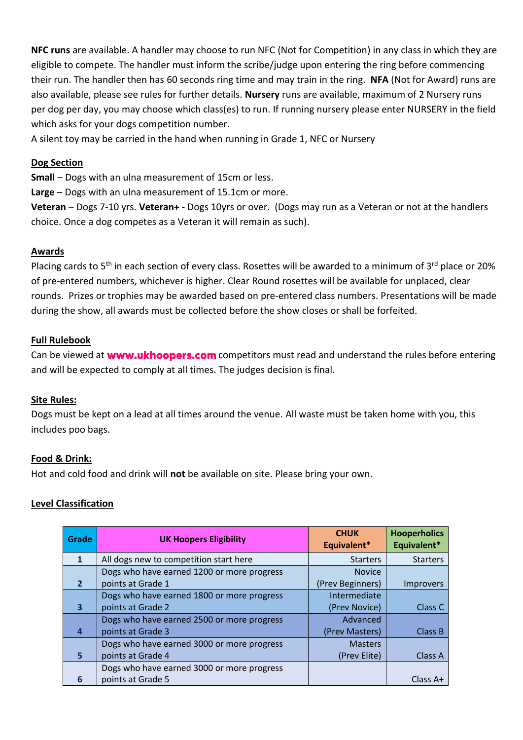**NFC runs** are available. A handler may choose to run NFC (Not for Competition) in any class in which they are eligible to compete. The handler must inform the scribe/judge upon entering the ring before commencing their run. The handler then has 60 seconds ring time and may train in the ring. **NFA** (Not for Award) runs are also available, please see rules for further details. **Nursery** runs are available, maximum of 2 Nursery runs per dog per day, you may choose which class(es) to run. If running nursery please enter NURSERY in the field which asks for your dogs competition number.

A silent toy may be carried in the hand when running in Grade 1, NFC or Nursery

#### **Dog Section**

**Small** – Dogs with an ulna measurement of 15cm or less.

**Large** – Dogs with an ulna measurement of 15.1cm or more.

**Veteran** – Dogs 7-10 yrs. **Veteran+** - Dogs 10yrs or over. (Dogs may run as a Veteran or not at the handlers choice. Once a dog competes as a Veteran it will remain as such).

#### **Awards**

Placing cards to 5<sup>th</sup> in each section of every class. Rosettes will be awarded to a minimum of 3<sup>rd</sup> place or 20% of pre-entered numbers, whichever is higher. Clear Round rosettes will be available for unplaced, clear rounds. Prizes or trophies may be awarded based on pre-entered class numbers. Presentations will be made during the show, all awards must be collected before the show closes or shall be forfeited.

#### **Full Rulebook**

Canbe viewed at **www.ukhoopers.com** competitors must read and understand the rules before entering and will be expected to comply at all times. The judges decision is final.

#### **Site Rules:**

Dogs must be kept on a lead at all times around the venue. All waste must be taken home with you, this includes poo bags.

#### **Food & Drink:**

Hot and cold food and drink will **not** be available on site. Please bring your own.

### **Level Classification**

| Grade        | <b>UK Hoopers Eligibility</b>              | <b>CHUK</b><br>Equivalent* | <b>Hooperholics</b><br>Equivalent* |
|--------------|--------------------------------------------|----------------------------|------------------------------------|
| $\mathbf{1}$ | All dogs new to competition start here     | <b>Starters</b>            | <b>Starters</b>                    |
|              | Dogs who have earned 1200 or more progress | <b>Novice</b>              |                                    |
|              | points at Grade 1                          | (Prev Beginners)           | <b>Improvers</b>                   |
|              | Dogs who have earned 1800 or more progress | Intermediate               |                                    |
| 3            | points at Grade 2                          | (Prev Novice)              | Class C                            |
|              | Dogs who have earned 2500 or more progress | Advanced                   |                                    |
|              | points at Grade 3                          | (Prev Masters)             | Class B                            |
|              | Dogs who have earned 3000 or more progress | <b>Masters</b>             |                                    |
| 5            | points at Grade 4                          | (Prev Elite)               | <b>Class A</b>                     |
|              | Dogs who have earned 3000 or more progress |                            |                                    |
| 6            | points at Grade 5                          |                            | Class $A+$                         |